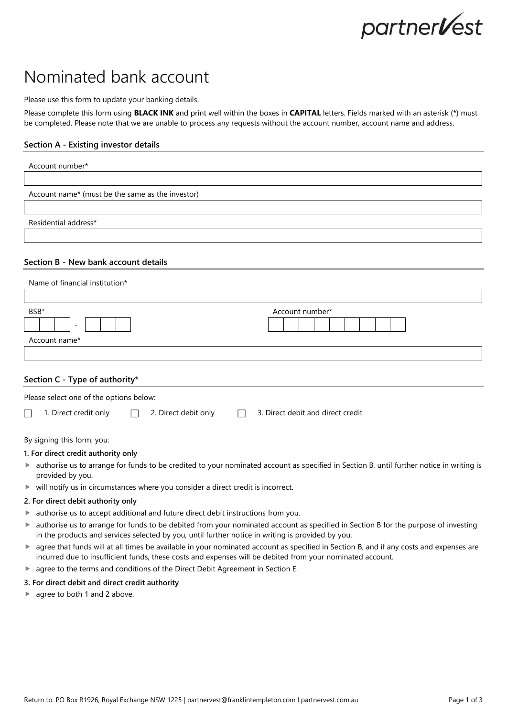# partner**V**est

# Nominated bank account

Please use this form to update your banking details.

Please complete this form using **BLACK INK** and print well within the boxes in **CAPITAL** letters. Fields marked with an asterisk (\*) must be completed. Please note that we are unable to process any requests without the account number, account name and address.

# **Section A - Existing investor details**

| Account number*                                                        |                 |
|------------------------------------------------------------------------|-----------------|
|                                                                        |                 |
| Account name* (must be the same as the investor)                       |                 |
|                                                                        |                 |
| Residential address*                                                   |                 |
| Section B - New bank account details<br>Name of financial institution* |                 |
|                                                                        |                 |
| BSB*<br>$\overline{\phantom{a}}$                                       | Account number* |
| Account name*                                                          |                 |
|                                                                        |                 |

# **Section C - Type of authority\***

| Please select one of the options below: |                       |  |                             |  |                                   |  |
|-----------------------------------------|-----------------------|--|-----------------------------|--|-----------------------------------|--|
|                                         | 1. Direct credit only |  | $\Box$ 2. Direct debit only |  | 3. Direct debit and direct credit |  |

By signing this form, you:

# **1. For direct credit authority only**

- ► authorise us to arrange for funds to be credited to your nominated account as specified in Section B, until further notice in writing is provided by you.
- $\blacktriangleright$  will notify us in circumstances where you consider a direct credit is incorrect.

# **2. For direct debit authority only**

- authorise us to accept additional and future direct debit instructions from you.
- authorise us to arrange for funds to be debited from your nominated account as specified in Section B for the purpose of investing in the products and services selected by you, until further notice in writing is provided by you.
- agree that funds will at all times be available in your nominated account as specified in Section B, and if any costs and expenses are incurred due to insufficient funds, these costs and expenses will be debited from your nominated account.
- agree to the terms and conditions of the Direct Debit Agreement in Section E.

# **3. For direct debit and direct credit authority**

▶ agree to both 1 and 2 above.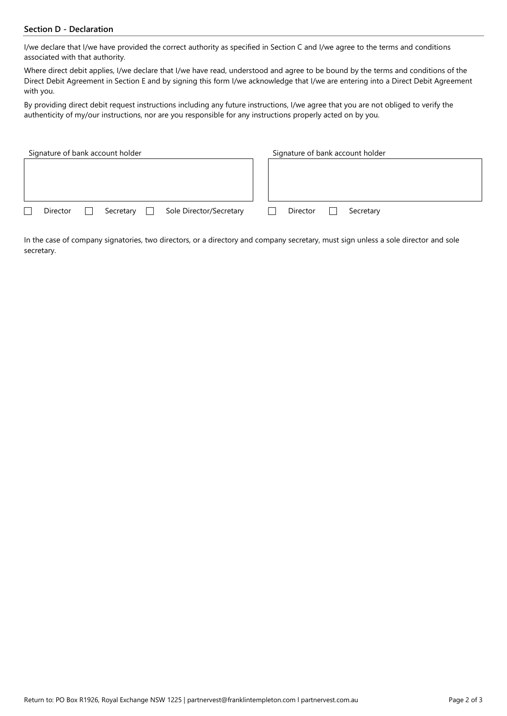# **Section D - Declaration**

I/we declare that I/we have provided the correct authority as specified in Section C and I/we agree to the terms and conditions associated with that authority.

Where direct debit applies, I/we declare that I/we have read, understood and agree to be bound by the terms and conditions of the Direct Debit Agreement in Section E and by signing this form I/we acknowledge that I/we are entering into a Direct Debit Agreement with you.

By providing direct debit request instructions including any future instructions, I/we agree that you are not obliged to verify the authenticity of my/our instructions, nor are you responsible for any instructions properly acted on by you.

| Signature of bank account holder                      | Signature of bank account holder |  |  |
|-------------------------------------------------------|----------------------------------|--|--|
|                                                       |                                  |  |  |
|                                                       |                                  |  |  |
|                                                       |                                  |  |  |
| Sole Director/Secretary<br>Director<br>Secretary<br>□ | Director<br>Secretary            |  |  |

In the case of company signatories, two directors, or a directory and company secretary, must sign unless a sole director and sole secretary.